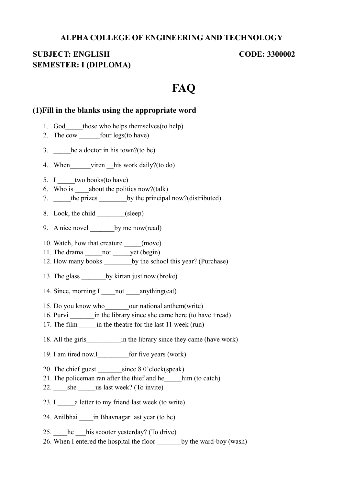#### **ALPHA COLLEGE OF ENGINEERING AND TECHNOLOGY**

# **SUBJECT: ENGLISH CODE: 3300002 SEMESTER: I (DIPLOMA)**

# **FAQ**

#### **(1)Fill in the blanks using the appropriate word**

- 1. God those who helps themselves (to help)
- 2. The cow four legs(to have)
- 3. **he a doctor in his town?(to be)**
- 4. When viren his work daily?(to do)
- 5. I two books(to have)
- 6. Who is  $\qquad$  about the politics now?(talk)
- 7. **the prizes** by the principal now?(distributed)
- 8. Look, the child (sleep)
- 9. A nice novel by me now(read)
- 10. Watch, how that creature (move)
- 11. The drama \_\_\_\_\_\_not \_\_\_\_\_\_yet (begin)
- 12. How many books by the school this year? (Purchase)
- 13. The glass by kirtan just now.(broke)
- 14. Since, morning I anything (eat)
- 15. Do you know who we our national anthem (write)
- 16. Purvi \_\_\_\_\_\_\_\_\_\_\_in the library since she came here (to have +read)
- 17. The film in the theatre for the last 11 week (run)
- 18. All the girls in the library since they came (have work)
- 19. I am tired now.I for five years (work)
- 20. The chief guest \_\_\_\_\_\_\_\_\_ since 8 0'clock(speak)
- 21. The policeman ran after the thief and he him (to catch)
- 22. she us last week? (To invite)
- 23. I a letter to my friend last week (to write)
- 24. Anilbhai \_\_\_\_in Bhavnagar last year (to be)
- 25. he his scooter yesterday? (To drive)
- 26. When I entered the hospital the floor by the ward-boy (wash)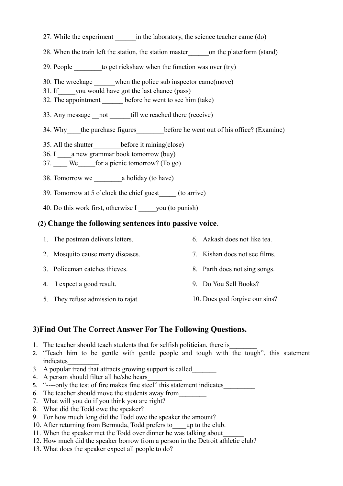- 27. While the experiment in the laboratory, the science teacher came (do)
- 28. When the train left the station, the station master on the platerform (stand)
- 29. People to get rickshaw when the function was over (try)
- 30. The wreckage when the police sub inspector came(move)
- 31. If you would have got the last chance (pass)
- 32. The appointment before he went to see him (take)
- 33. Any message \_\_not \_\_\_\_\_\_\_till we reached there (receive)
- 34. Why the purchase figures before he went out of his office? (Examine)
- 35. All the shutter before it raining(close)
- 36. I a new grammar book tomorrow (buy)
- 37. \_\_\_\_ We\_\_\_\_\_for a picnic tomorrow? (To go)
- 38. Tomorrow we \_\_\_\_\_\_\_\_a holiday (to have)
- 39. Tomorrow at 5 o'clock the chief guest\_\_\_\_\_ (to arrive)
- 40. Do this work first, otherwise I wou (to punish)

#### **(2) Change the following sentences into passive voice**.

- 1. The postman delivers letters. 6. Aakash does not like tea.
- 2. Mosquito cause many diseases. 7. Kishan does not see films.
- 3. Policeman catches thieves.
- 4. I expect a good result.
- 5. They refuse admission to rajat.
- - 8. Parth does not sing songs.
- 9. Do You Sell Books?
- 10. Does god forgive our sins?

### **3)Find Out The Correct Answer For The Following Questions.**

- 1. The teacher should teach students that for selfish politician, there is
- 2. "Teach him to be gentle with gentle people and tough with the tough". this statement indicates\_\_\_\_\_\_\_\_\_
- 3. A popular trend that attracts growing support is called
- 4. A person should filter all he/she hears\_\_\_\_\_\_\_\_\_\_
- 5. "----only the test of fire makes fine steel" this statement indicates\_\_\_\_\_\_\_\_\_
- 6. The teacher should move the students away from\_\_\_\_\_\_\_\_
- 7. What will you do if you think you are right?
- 8. What did the Todd owe the speaker?
- 9. For how much long did the Todd owe the speaker the amount?
- 10. After returning from Bermuda, Todd prefers to up to the club.
- 11. When the speaker met the Todd over dinner he was talking about\_\_\_\_\_\_
- 12. How much did the speaker borrow from a person in the Detroit athletic club?
- 13. What does the speaker expect all people to do?